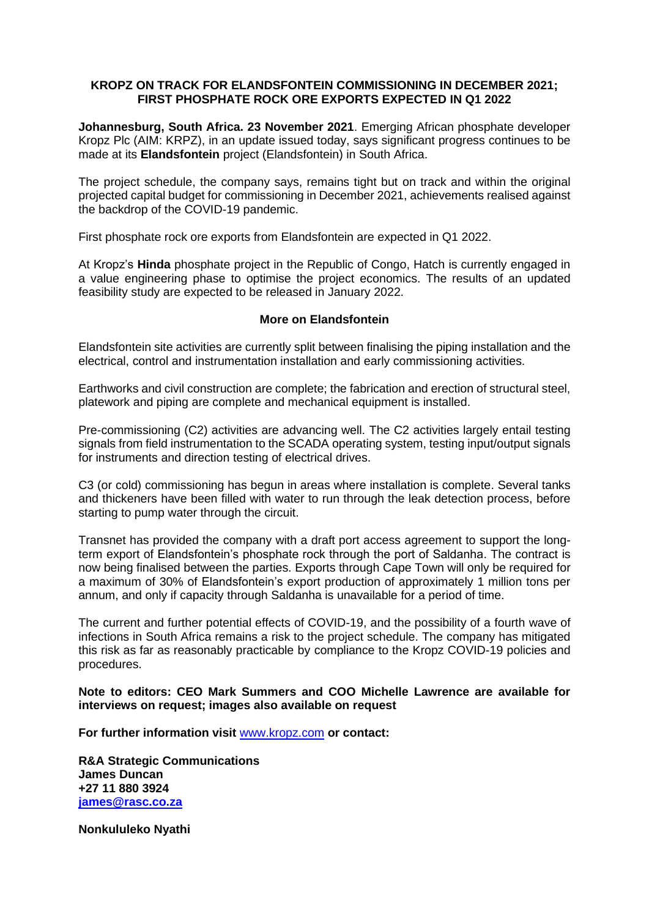# **KROPZ ON TRACK FOR ELANDSFONTEIN COMMISSIONING IN DECEMBER 2021; FIRST PHOSPHATE ROCK ORE EXPORTS EXPECTED IN Q1 2022**

**Johannesburg, South Africa. 23 November 2021**. Emerging African phosphate developer Kropz Plc (AIM: KRPZ), in an update issued today, says significant progress continues to be made at its **Elandsfontein** project (Elandsfontein) in South Africa.

The project schedule, the company says, remains tight but on track and within the original projected capital budget for commissioning in December 2021, achievements realised against the backdrop of the COVID-19 pandemic.

First phosphate rock ore exports from Elandsfontein are expected in Q1 2022.

At Kropz's **Hinda** phosphate project in the Republic of Congo, Hatch is currently engaged in a value engineering phase to optimise the project economics. The results of an updated feasibility study are expected to be released in January 2022.

### **More on Elandsfontein**

Elandsfontein site activities are currently split between finalising the piping installation and the electrical, control and instrumentation installation and early commissioning activities.

Earthworks and civil construction are complete; the fabrication and erection of structural steel, platework and piping are complete and mechanical equipment is installed.

Pre-commissioning (C2) activities are advancing well. The C2 activities largely entail testing signals from field instrumentation to the SCADA operating system, testing input/output signals for instruments and direction testing of electrical drives.

C3 (or cold) commissioning has begun in areas where installation is complete. Several tanks and thickeners have been filled with water to run through the leak detection process, before starting to pump water through the circuit.

Transnet has provided the company with a draft port access agreement to support the longterm export of Elandsfontein's phosphate rock through the port of Saldanha. The contract is now being finalised between the parties. Exports through Cape Town will only be required for a maximum of 30% of Elandsfontein's export production of approximately 1 million tons per annum, and only if capacity through Saldanha is unavailable for a period of time.

The current and further potential effects of COVID-19, and the possibility of a fourth wave of infections in South Africa remains a risk to the project schedule. The company has mitigated this risk as far as reasonably practicable by compliance to the Kropz COVID-19 policies and procedures.

### **Note to editors: CEO Mark Summers and COO Michelle Lawrence are available for interviews on request; images also available on request**

**For further information visit** [www.kropz.com](about:blank) **or contact:**

**R&A Strategic Communications James Duncan +27 11 880 3924 [james@rasc.co.za](mailto:james@rasc.co.za)**

**Nonkululeko Nyathi**